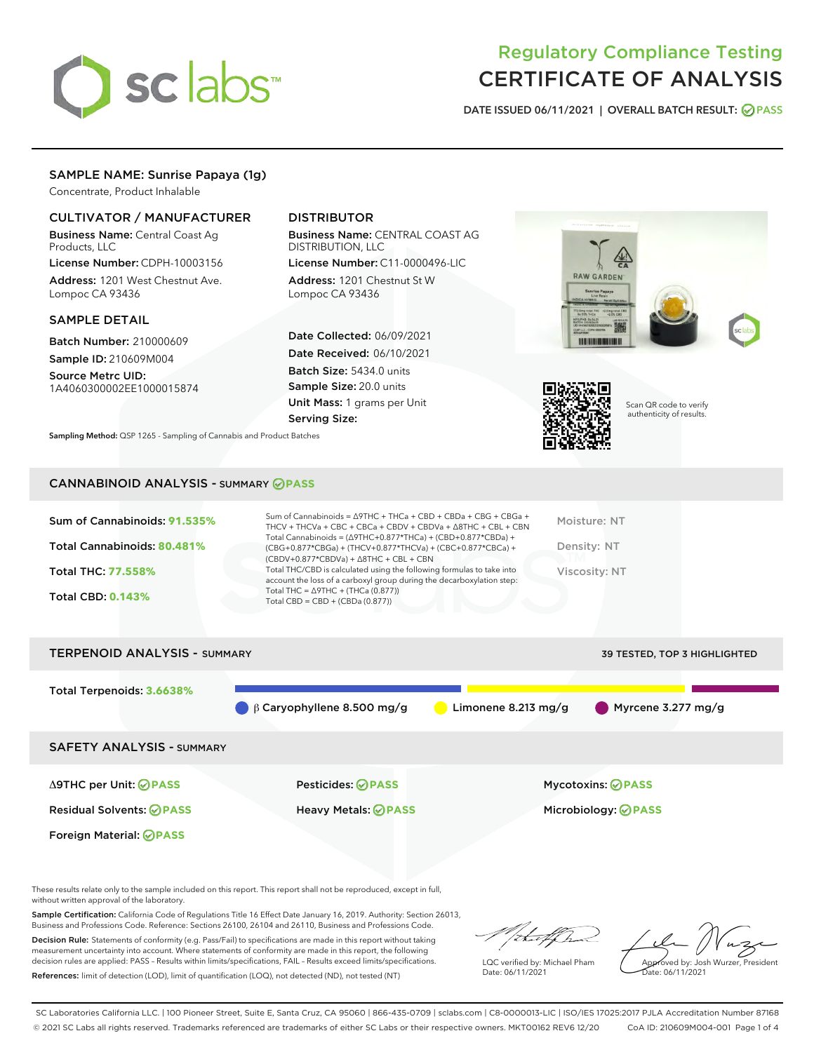

# Regulatory Compliance Testing CERTIFICATE OF ANALYSIS

DATE ISSUED 06/11/2021 | OVERALL BATCH RESULT: @ PASS

# SAMPLE NAME: Sunrise Papaya (1g)

Concentrate, Product Inhalable

# CULTIVATOR / MANUFACTURER

Business Name: Central Coast Ag Products, LLC

License Number: CDPH-10003156 Address: 1201 West Chestnut Ave. Lompoc CA 93436

#### SAMPLE DETAIL

Batch Number: 210000609 Sample ID: 210609M004

Source Metrc UID: 1A4060300002EE1000015874

# DISTRIBUTOR

Business Name: CENTRAL COAST AG DISTRIBUTION, LLC

License Number: C11-0000496-LIC Address: 1201 Chestnut St W Lompoc CA 93436

Date Collected: 06/09/2021 Date Received: 06/10/2021 Batch Size: 5434.0 units Sample Size: 20.0 units Unit Mass: 1 grams per Unit Serving Size:







Scan QR code to verify authenticity of results.

#### CANNABINOID ANALYSIS - SUMMARY **PASS**

| Sum of Cannabinoids: 91.535%<br>Total Cannabinoids: 80.481%<br><b>Total THC: 77.558%</b><br><b>Total CBD: 0.143%</b> | Sum of Cannabinoids = $\triangle$ 9THC + THCa + CBD + CBDa + CBG + CBGa +<br>THCV + THCVa + CBC + CBCa + CBDV + CBDVa + $\Delta$ 8THC + CBL + CBN<br>Total Cannabinoids = $(\Delta 9THC+0.877*THCa) + (CBD+0.877*CBDa) +$<br>(CBG+0.877*CBGa) + (THCV+0.877*THCVa) + (CBC+0.877*CBCa) +<br>$(CBDV+0.877*CBDVa) + \Delta 8THC + CBL + CBN$<br>Total THC/CBD is calculated using the following formulas to take into<br>account the loss of a carboxyl group during the decarboxylation step:<br>Total THC = $\triangle$ 9THC + (THCa (0.877))<br>Total CBD = CBD + (CBDa (0.877)) | Moisture: NT<br>Density: NT<br>Viscosity: NT |
|----------------------------------------------------------------------------------------------------------------------|----------------------------------------------------------------------------------------------------------------------------------------------------------------------------------------------------------------------------------------------------------------------------------------------------------------------------------------------------------------------------------------------------------------------------------------------------------------------------------------------------------------------------------------------------------------------------------|----------------------------------------------|
| <b>TERPENOID ANALYSIS - SUMMARY</b>                                                                                  |                                                                                                                                                                                                                                                                                                                                                                                                                                                                                                                                                                                  | 39 TESTED, TOP 3 HIGHLIGHTED                 |
| Total Terpenoids: 3.6638%                                                                                            | $\beta$ Caryophyllene 8.500 mg/g<br>Limonene 8.213 mg/g                                                                                                                                                                                                                                                                                                                                                                                                                                                                                                                          | Myrcene $3.277$ mg/g                         |

SAFETY ANALYSIS - SUMMARY

Δ9THC per Unit: **PASS** Pesticides: **PASS** Mycotoxins: **PASS**

Foreign Material: **PASS**

Residual Solvents: **PASS** Heavy Metals: **PASS** Microbiology: **PASS**

These results relate only to the sample included on this report. This report shall not be reproduced, except in full, without written approval of the laboratory.

Sample Certification: California Code of Regulations Title 16 Effect Date January 16, 2019. Authority: Section 26013, Business and Professions Code. Reference: Sections 26100, 26104 and 26110, Business and Professions Code.

Decision Rule: Statements of conformity (e.g. Pass/Fail) to specifications are made in this report without taking measurement uncertainty into account. Where statements of conformity are made in this report, the following decision rules are applied: PASS – Results within limits/specifications, FAIL – Results exceed limits/specifications. References: limit of detection (LOD), limit of quantification (LOQ), not detected (ND), not tested (NT)

that f h

LQC verified by: Michael Pham Date: 06/11/2021

Approved by: Josh Wurzer, President ate: 06/11/2021

SC Laboratories California LLC. | 100 Pioneer Street, Suite E, Santa Cruz, CA 95060 | 866-435-0709 | sclabs.com | C8-0000013-LIC | ISO/IES 17025:2017 PJLA Accreditation Number 87168 © 2021 SC Labs all rights reserved. Trademarks referenced are trademarks of either SC Labs or their respective owners. MKT00162 REV6 12/20 CoA ID: 210609M004-001 Page 1 of 4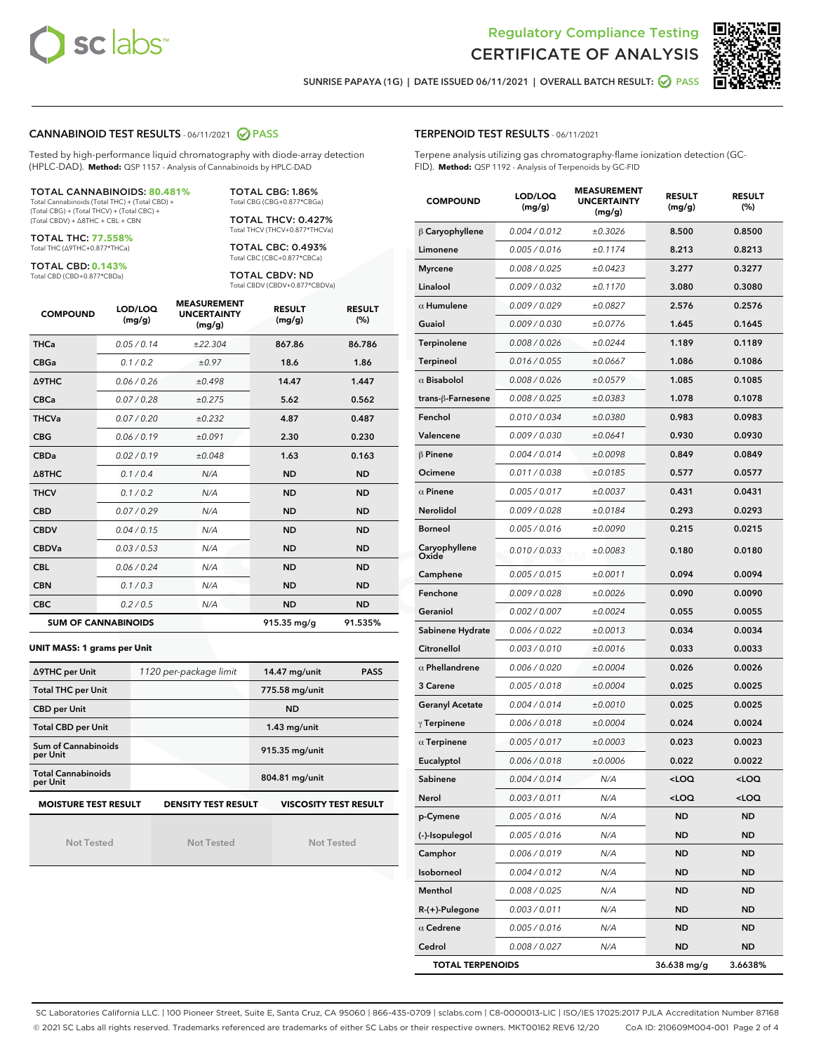



SUNRISE PAPAYA (1G) | DATE ISSUED 06/11/2021 | OVERALL BATCH RESULT: 2 PASS

#### CANNABINOID TEST RESULTS - 06/11/2021 2 PASS

Tested by high-performance liquid chromatography with diode-array detection (HPLC-DAD). **Method:** QSP 1157 - Analysis of Cannabinoids by HPLC-DAD

#### TOTAL CANNABINOIDS: **80.481%**

Total Cannabinoids (Total THC) + (Total CBD) + (Total CBG) + (Total THCV) + (Total CBC) + (Total CBDV) + ∆8THC + CBL + CBN

TOTAL THC: **77.558%** Total THC (∆9THC+0.877\*THCa)

TOTAL CBD: **0.143%**

Total CBD (CBD+0.877\*CBDa)

TOTAL CBG: 1.86% Total CBG (CBG+0.877\*CBGa)

TOTAL THCV: 0.427% Total THCV (THCV+0.877\*THCVa)

TOTAL CBC: 0.493% Total CBC (CBC+0.877\*CBCa)

TOTAL CBDV: ND Total CBDV (CBDV+0.877\*CBDVa)

| <b>COMPOUND</b> | LOD/LOQ<br>(mg/g)          | <b>MEASUREMENT</b><br><b>UNCERTAINTY</b><br>(mg/g) | <b>RESULT</b><br>(mg/g) | <b>RESULT</b><br>(%) |
|-----------------|----------------------------|----------------------------------------------------|-------------------------|----------------------|
| <b>THCa</b>     | 0.05/0.14                  | ±22.304                                            | 867.86                  | 86.786               |
| <b>CBGa</b>     | 0.1/0.2                    | ±0.97                                              | 18.6                    | 1.86                 |
| <b>A9THC</b>    | 0.06 / 0.26                | ±0.498                                             | 14.47                   | 1.447                |
| <b>CBCa</b>     | 0.07 / 0.28                | ±0.275                                             | 5.62                    | 0.562                |
| <b>THCVa</b>    | 0.07/0.20                  | ±0.232                                             | 4.87                    | 0.487                |
| <b>CBG</b>      | 0.06/0.19                  | ±0.091                                             | 2.30                    | 0.230                |
| <b>CBDa</b>     | 0.02/0.19                  | ±0.048                                             | 1.63                    | 0.163                |
| A8THC           | 0.1/0.4                    | N/A                                                | <b>ND</b>               | <b>ND</b>            |
| <b>THCV</b>     | 0.1 / 0.2                  | N/A                                                | <b>ND</b>               | <b>ND</b>            |
| <b>CBD</b>      | 0.07/0.29                  | N/A                                                | <b>ND</b>               | <b>ND</b>            |
| <b>CBDV</b>     | 0.04 / 0.15                | N/A                                                | <b>ND</b>               | <b>ND</b>            |
| <b>CBDVa</b>    | 0.03/0.53                  | N/A                                                | <b>ND</b>               | <b>ND</b>            |
| <b>CBL</b>      | 0.06 / 0.24                | N/A                                                | <b>ND</b>               | <b>ND</b>            |
| <b>CBN</b>      | 0.1/0.3                    | N/A                                                | <b>ND</b>               | <b>ND</b>            |
| <b>CBC</b>      | 0.2 / 0.5                  | N/A                                                | <b>ND</b>               | <b>ND</b>            |
|                 | <b>SUM OF CANNABINOIDS</b> |                                                    | 915.35 mg/g             | 91.535%              |

#### **UNIT MASS: 1 grams per Unit**

| ∆9THC per Unit                        | 1120 per-package limit     | 14.47 mg/unit<br><b>PASS</b> |
|---------------------------------------|----------------------------|------------------------------|
| <b>Total THC per Unit</b>             |                            | 775.58 mg/unit               |
| <b>CBD</b> per Unit                   |                            | <b>ND</b>                    |
| <b>Total CBD per Unit</b>             |                            | $1.43$ mg/unit               |
| Sum of Cannabinoids<br>per Unit       |                            | 915.35 mg/unit               |
| <b>Total Cannabinoids</b><br>per Unit |                            | 804.81 mg/unit               |
| <b>MOISTURE TEST RESULT</b>           | <b>DENSITY TEST RESULT</b> | <b>VISCOSITY TEST RESULT</b> |

Not Tested

Not Tested

Not Tested

#### TERPENOID TEST RESULTS - 06/11/2021

Terpene analysis utilizing gas chromatography-flame ionization detection (GC-FID). **Method:** QSP 1192 - Analysis of Terpenoids by GC-FID

| <b>COMPOUND</b>         | LOD/LOQ<br>(mg/g)    | <b>MEASUREMENT</b><br><b>UNCERTAINTY</b><br>(mg/g) | <b>RESULT</b><br>(mg/g)                         | <b>RESULT</b><br>(%) |
|-------------------------|----------------------|----------------------------------------------------|-------------------------------------------------|----------------------|
| $\beta$ Caryophyllene   | 0.004 / 0.012        | ±0.3026                                            | 8.500                                           | 0.8500               |
| Limonene                | 0.005 / 0.016        | ±0.1174                                            | 8.213                                           | 0.8213               |
| <b>Myrcene</b>          | 0.008 / 0.025        | ±0.0423                                            | 3.277                                           | 0.3277               |
| Linalool                | 0.009 / 0.032        | ±0.1170                                            | 3.080                                           | 0.3080               |
| $\alpha$ Humulene       | 0.009 / 0.029        | ±0.0827                                            | 2.576                                           | 0.2576               |
| Guaiol                  | <i>0.009 / 0.030</i> | ±0.0776                                            | 1.645                                           | 0.1645               |
| Terpinolene             | 0.008 / 0.026        | ±0.0244                                            | 1.189                                           | 0.1189               |
| <b>Terpineol</b>        | 0.016 / 0.055        | ±0.0667                                            | 1.086                                           | 0.1086               |
| $\alpha$ Bisabolol      | 0.008 / 0.026        | ±0.0579                                            | 1.085                                           | 0.1085               |
| trans-ß-Farnesene       | 0.008 / 0.025        | ±0.0383                                            | 1.078                                           | 0.1078               |
| Fenchol                 | 0.010 / 0.034        | ±0.0380                                            | 0.983                                           | 0.0983               |
| Valencene               | 0.009 / 0.030        | ±0.0641                                            | 0.930                                           | 0.0930               |
| $\beta$ Pinene          | 0.004 / 0.014        | ±0.0098                                            | 0.849                                           | 0.0849               |
| Ocimene                 | 0.011 / 0.038        | ±0.0185                                            | 0.577                                           | 0.0577               |
| $\alpha$ Pinene         | 0.005 / 0.017        | ±0.0037                                            | 0.431                                           | 0.0431               |
| Nerolidol               | 0.009 / 0.028        | ±0.0184                                            | 0.293                                           | 0.0293               |
| <b>Borneol</b>          | 0.005 / 0.016        | ±0.0090                                            | 0.215                                           | 0.0215               |
| Caryophyllene<br>Oxide  | 0.010 / 0.033        | ±0.0083                                            | 0.180                                           | 0.0180               |
| Camphene                | 0.005 / 0.015        | ±0.0011                                            | 0.094                                           | 0.0094               |
| Fenchone                | 0.009 / 0.028        | ±0.0026                                            | 0.090                                           | 0.0090               |
| Geraniol                | 0.002 / 0.007        | ±0.0024                                            | 0.055                                           | 0.0055               |
| Sabinene Hydrate        | 0.006 / 0.022        | ±0.0013                                            | 0.034                                           | 0.0034               |
| Citronellol             | 0.003 / 0.010        | ±0.0016                                            | 0.033                                           | 0.0033               |
| $\alpha$ Phellandrene   | 0.006 / 0.020        | ±0.0004                                            | 0.026                                           | 0.0026               |
| 3 Carene                | 0.005 / 0.018        | ±0.0004                                            | 0.025                                           | 0.0025               |
| <b>Geranyl Acetate</b>  | 0.004 / 0.014        | ±0.0010                                            | 0.025                                           | 0.0025               |
| $\gamma$ Terpinene      | 0.006 / 0.018        | ±0.0004                                            | 0.024                                           | 0.0024               |
| $\alpha$ Terpinene      | 0.005 / 0.017        | ±0.0003                                            | 0.023                                           | 0.0023               |
| Eucalyptol              | 0.006 / 0.018        | ±0.0006                                            | 0.022                                           | 0.0022               |
| Sabinene                | 0.004 / 0.014        | N/A                                                | <loq< th=""><th><loq< th=""></loq<></th></loq<> | <loq< th=""></loq<>  |
| Nerol                   | 0.003 / 0.011        | N/A                                                | <loq< th=""><th><loq< th=""></loq<></th></loq<> | <loq< th=""></loq<>  |
| p-Cymene                | 0.005 / 0.016        | N/A                                                | <b>ND</b>                                       | ND                   |
| (-)-Isopulegol          | 0.005 / 0.016        | N/A                                                | ND                                              | ND                   |
| Camphor                 | 0.006 / 0.019        | N/A                                                | ND                                              | ND                   |
| Isoborneol              | 0.004 / 0.012        | N/A                                                | ND                                              | ND                   |
| Menthol                 | 0.008 / 0.025        | N/A                                                | ND                                              | ND                   |
| $R-(+)$ -Pulegone       | 0.003 / 0.011        | N/A                                                | ND                                              | ND                   |
| $\alpha$ Cedrene        | 0.005 / 0.016        | N/A                                                | ND                                              | ND                   |
| Cedrol                  | 0.008 / 0.027        | N/A                                                | ND                                              | ND                   |
| <b>TOTAL TERPENOIDS</b> |                      |                                                    | 36.638 mg/g                                     | 3.6638%              |

SC Laboratories California LLC. | 100 Pioneer Street, Suite E, Santa Cruz, CA 95060 | 866-435-0709 | sclabs.com | C8-0000013-LIC | ISO/IES 17025:2017 PJLA Accreditation Number 87168 © 2021 SC Labs all rights reserved. Trademarks referenced are trademarks of either SC Labs or their respective owners. MKT00162 REV6 12/20 CoA ID: 210609M004-001 Page 2 of 4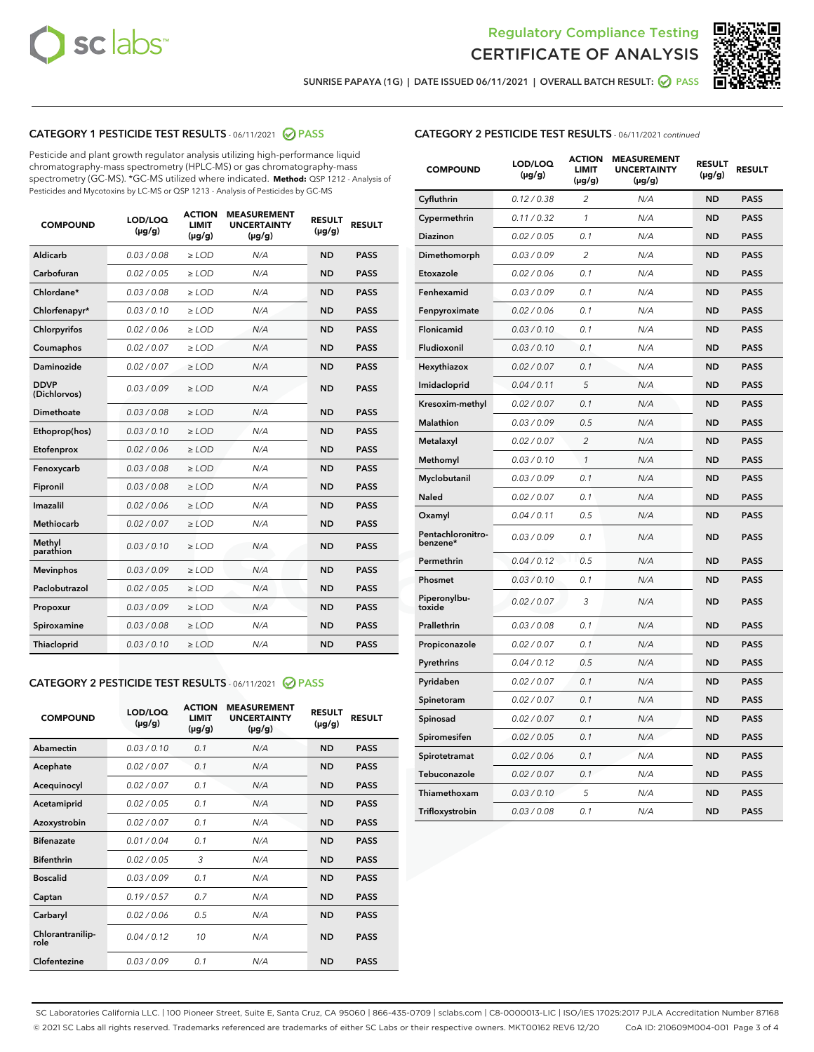



SUNRISE PAPAYA (1G) | DATE ISSUED 06/11/2021 | OVERALL BATCH RESULT: @ PASS

# CATEGORY 1 PESTICIDE TEST RESULTS - 06/11/2021 2 PASS

Pesticide and plant growth regulator analysis utilizing high-performance liquid chromatography-mass spectrometry (HPLC-MS) or gas chromatography-mass spectrometry (GC-MS). \*GC-MS utilized where indicated. **Method:** QSP 1212 - Analysis of Pesticides and Mycotoxins by LC-MS or QSP 1213 - Analysis of Pesticides by GC-MS

| <b>COMPOUND</b>             | LOD/LOQ<br>$(\mu g/g)$ | <b>ACTION</b><br><b>LIMIT</b><br>$(\mu q/q)$ | <b>MEASUREMENT</b><br><b>UNCERTAINTY</b><br>$(\mu g/g)$ | <b>RESULT</b><br>$(\mu g/g)$ | <b>RESULT</b> |
|-----------------------------|------------------------|----------------------------------------------|---------------------------------------------------------|------------------------------|---------------|
| Aldicarb                    | 0.03 / 0.08            | $\ge$ LOD                                    | N/A                                                     | <b>ND</b>                    | <b>PASS</b>   |
| Carbofuran                  | 0.02 / 0.05            | $\ge$ LOD                                    | N/A                                                     | <b>ND</b>                    | <b>PASS</b>   |
| Chlordane*                  | 0.03 / 0.08            | $\ge$ LOD                                    | N/A                                                     | <b>ND</b>                    | <b>PASS</b>   |
| Chlorfenapyr*               | 0.03/0.10              | $\ge$ LOD                                    | N/A                                                     | <b>ND</b>                    | <b>PASS</b>   |
| Chlorpyrifos                | 0.02 / 0.06            | $\ge$ LOD                                    | N/A                                                     | <b>ND</b>                    | <b>PASS</b>   |
| Coumaphos                   | 0.02 / 0.07            | $\ge$ LOD                                    | N/A                                                     | <b>ND</b>                    | <b>PASS</b>   |
| Daminozide                  | 0.02 / 0.07            | $\ge$ LOD                                    | N/A                                                     | <b>ND</b>                    | <b>PASS</b>   |
| <b>DDVP</b><br>(Dichlorvos) | 0.03/0.09              | $>$ LOD                                      | N/A                                                     | <b>ND</b>                    | <b>PASS</b>   |
| Dimethoate                  | 0.03 / 0.08            | $\ge$ LOD                                    | N/A                                                     | <b>ND</b>                    | <b>PASS</b>   |
| Ethoprop(hos)               | 0.03/0.10              | $\ge$ LOD                                    | N/A                                                     | <b>ND</b>                    | <b>PASS</b>   |
| Etofenprox                  | 0.02/0.06              | $>$ LOD                                      | N/A                                                     | <b>ND</b>                    | <b>PASS</b>   |
| Fenoxycarb                  | 0.03 / 0.08            | $\ge$ LOD                                    | N/A                                                     | <b>ND</b>                    | <b>PASS</b>   |
| Fipronil                    | 0.03/0.08              | $>$ LOD                                      | N/A                                                     | <b>ND</b>                    | <b>PASS</b>   |
| Imazalil                    | 0.02 / 0.06            | $\ge$ LOD                                    | N/A                                                     | <b>ND</b>                    | <b>PASS</b>   |
| Methiocarb                  | 0.02 / 0.07            | $\ge$ LOD                                    | N/A                                                     | <b>ND</b>                    | <b>PASS</b>   |
| Methyl<br>parathion         | 0.03/0.10              | $>$ LOD                                      | N/A                                                     | <b>ND</b>                    | <b>PASS</b>   |
| <b>Mevinphos</b>            | 0.03/0.09              | $>$ LOD                                      | N/A                                                     | <b>ND</b>                    | <b>PASS</b>   |
| Paclobutrazol               | 0.02 / 0.05            | $\ge$ LOD                                    | N/A                                                     | <b>ND</b>                    | <b>PASS</b>   |
| Propoxur                    | 0.03 / 0.09            | $\ge$ LOD                                    | N/A                                                     | <b>ND</b>                    | <b>PASS</b>   |
| Spiroxamine                 | 0.03 / 0.08            | $\ge$ LOD                                    | N/A                                                     | <b>ND</b>                    | <b>PASS</b>   |
| Thiacloprid                 | 0.03/0.10              | $\ge$ LOD                                    | N/A                                                     | <b>ND</b>                    | <b>PASS</b>   |

#### CATEGORY 2 PESTICIDE TEST RESULTS - 06/11/2021 @ PASS

| <b>COMPOUND</b>          | LOD/LOQ<br>$(\mu g/g)$ | <b>ACTION</b><br><b>LIMIT</b><br>$(\mu g/g)$ | <b>MEASUREMENT</b><br><b>UNCERTAINTY</b><br>$(\mu g/g)$ | <b>RESULT</b><br>$(\mu g/g)$ | <b>RESULT</b> |
|--------------------------|------------------------|----------------------------------------------|---------------------------------------------------------|------------------------------|---------------|
| Abamectin                | 0.03/0.10              | 0.1                                          | N/A                                                     | <b>ND</b>                    | <b>PASS</b>   |
| Acephate                 | 0.02/0.07              | 0.1                                          | N/A                                                     | <b>ND</b>                    | <b>PASS</b>   |
| Acequinocyl              | 0.02/0.07              | 0.1                                          | N/A                                                     | <b>ND</b>                    | <b>PASS</b>   |
| Acetamiprid              | 0.02/0.05              | 0.1                                          | N/A                                                     | <b>ND</b>                    | <b>PASS</b>   |
| Azoxystrobin             | 0.02/0.07              | 0.1                                          | N/A                                                     | <b>ND</b>                    | <b>PASS</b>   |
| <b>Bifenazate</b>        | 0.01/0.04              | 0.1                                          | N/A                                                     | <b>ND</b>                    | <b>PASS</b>   |
| <b>Bifenthrin</b>        | 0.02 / 0.05            | 3                                            | N/A                                                     | <b>ND</b>                    | <b>PASS</b>   |
| <b>Boscalid</b>          | 0.03/0.09              | 0.1                                          | N/A                                                     | <b>ND</b>                    | <b>PASS</b>   |
| Captan                   | 0.19/0.57              | 0.7                                          | N/A                                                     | <b>ND</b>                    | <b>PASS</b>   |
| Carbaryl                 | 0.02/0.06              | 0.5                                          | N/A                                                     | <b>ND</b>                    | <b>PASS</b>   |
| Chlorantranilip-<br>role | 0.04/0.12              | 10                                           | N/A                                                     | <b>ND</b>                    | <b>PASS</b>   |
| Clofentezine             | 0.03/0.09              | 0.1                                          | N/A                                                     | <b>ND</b>                    | <b>PASS</b>   |

| <b>CATEGORY 2 PESTICIDE TEST RESULTS</b> - 06/11/2021 continued |  |
|-----------------------------------------------------------------|--|
|                                                                 |  |

| <b>COMPOUND</b>               | LOD/LOQ<br>(µg/g) | <b>ACTION</b><br>LIMIT<br>(µg/g) | <b>MEASUREMENT</b><br><b>UNCERTAINTY</b><br>(µg/g) | <b>RESULT</b><br>(µg/g) | <b>RESULT</b> |
|-------------------------------|-------------------|----------------------------------|----------------------------------------------------|-------------------------|---------------|
| Cyfluthrin                    | 0.12 / 0.38       | $\overline{c}$                   | N/A                                                | <b>ND</b>               | <b>PASS</b>   |
| Cypermethrin                  | 0.11/0.32         | 1                                | N/A                                                | <b>ND</b>               | <b>PASS</b>   |
| <b>Diazinon</b>               | 0.02 / 0.05       | 0.1                              | N/A                                                | <b>ND</b>               | <b>PASS</b>   |
| Dimethomorph                  | 0.03 / 0.09       | 2                                | N/A                                                | <b>ND</b>               | <b>PASS</b>   |
| Etoxazole                     | 0.02 / 0.06       | 0.1                              | N/A                                                | <b>ND</b>               | <b>PASS</b>   |
| Fenhexamid                    | 0.03 / 0.09       | 0.1                              | N/A                                                | <b>ND</b>               | <b>PASS</b>   |
| Fenpyroximate                 | 0.02 / 0.06       | 0.1                              | N/A                                                | <b>ND</b>               | <b>PASS</b>   |
| Flonicamid                    | 0.03 / 0.10       | 0.1                              | N/A                                                | <b>ND</b>               | <b>PASS</b>   |
| Fludioxonil                   | 0.03/0.10         | 0.1                              | N/A                                                | <b>ND</b>               | <b>PASS</b>   |
| Hexythiazox                   | 0.02 / 0.07       | 0.1                              | N/A                                                | <b>ND</b>               | <b>PASS</b>   |
| Imidacloprid                  | 0.04 / 0.11       | 5                                | N/A                                                | <b>ND</b>               | <b>PASS</b>   |
| Kresoxim-methyl               | 0.02 / 0.07       | 0.1                              | N/A                                                | <b>ND</b>               | <b>PASS</b>   |
| <b>Malathion</b>              | 0.03 / 0.09       | 0.5                              | N/A                                                | <b>ND</b>               | <b>PASS</b>   |
| Metalaxyl                     | 0.02 / 0.07       | $\overline{c}$                   | N/A                                                | <b>ND</b>               | <b>PASS</b>   |
| Methomyl                      | 0.03 / 0.10       | 1                                | N/A                                                | <b>ND</b>               | <b>PASS</b>   |
| Myclobutanil                  | 0.03/0.09         | 0.1                              | N/A                                                | <b>ND</b>               | <b>PASS</b>   |
| Naled                         | 0.02 / 0.07       | 0.1                              | N/A                                                | <b>ND</b>               | <b>PASS</b>   |
| Oxamyl                        | 0.04 / 0.11       | 0.5                              | N/A                                                | <b>ND</b>               | <b>PASS</b>   |
| Pentachloronitro-<br>benzene* | 0.03/0.09         | 0.1                              | N/A                                                | <b>ND</b>               | <b>PASS</b>   |
| Permethrin                    | 0.04 / 0.12       | 0.5                              | N/A                                                | <b>ND</b>               | <b>PASS</b>   |
| Phosmet                       | 0.03 / 0.10       | 0.1                              | N/A                                                | <b>ND</b>               | <b>PASS</b>   |
| Piperonylbu-<br>toxide        | 0.02 / 0.07       | 3                                | N/A                                                | <b>ND</b>               | <b>PASS</b>   |
| Prallethrin                   | 0.03 / 0.08       | 0.1                              | N/A                                                | <b>ND</b>               | <b>PASS</b>   |
| Propiconazole                 | 0.02 / 0.07       | 0.1                              | N/A                                                | <b>ND</b>               | <b>PASS</b>   |
| Pyrethrins                    | 0.04 / 0.12       | 0.5                              | N/A                                                | <b>ND</b>               | <b>PASS</b>   |
| Pyridaben                     | 0.02 / 0.07       | 0.1                              | N/A                                                | <b>ND</b>               | <b>PASS</b>   |
| Spinetoram                    | 0.02 / 0.07       | 0.1                              | N/A                                                | <b>ND</b>               | <b>PASS</b>   |
| Spinosad                      | 0.02 / 0.07       | 0.1                              | N/A                                                | <b>ND</b>               | <b>PASS</b>   |
| Spiromesifen                  | 0.02 / 0.05       | 0.1                              | N/A                                                | <b>ND</b>               | <b>PASS</b>   |
| Spirotetramat                 | 0.02 / 0.06       | 0.1                              | N/A                                                | <b>ND</b>               | <b>PASS</b>   |
| Tebuconazole                  | 0.02 / 0.07       | 0.1                              | N/A                                                | <b>ND</b>               | <b>PASS</b>   |
| Thiamethoxam                  | 0.03 / 0.10       | 5                                | N/A                                                | <b>ND</b>               | <b>PASS</b>   |
| Trifloxystrobin               | 0.03 / 0.08       | 0.1                              | N/A                                                | <b>ND</b>               | <b>PASS</b>   |

SC Laboratories California LLC. | 100 Pioneer Street, Suite E, Santa Cruz, CA 95060 | 866-435-0709 | sclabs.com | C8-0000013-LIC | ISO/IES 17025:2017 PJLA Accreditation Number 87168 © 2021 SC Labs all rights reserved. Trademarks referenced are trademarks of either SC Labs or their respective owners. MKT00162 REV6 12/20 CoA ID: 210609M004-001 Page 3 of 4